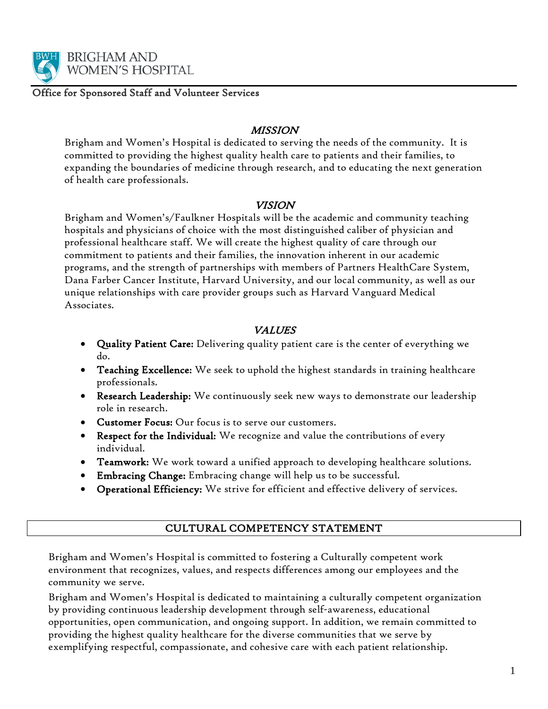

Office for Sponsored Staff and Volunteer Services

#### **MISSION**

Brigham and Women's Hospital is dedicated to serving the needs of the community. It is committed to providing the highest quality health care to patients and their families, to expanding the boundaries of medicine through research, and to educating the next generation of health care professionals.

#### VISION

Brigham and Women's/Faulkner Hospitals will be the academic and community teaching hospitals and physicians of choice with the most distinguished caliber of physician and professional healthcare staff. We will create the highest quality of care through our commitment to patients and their families, the innovation inherent in our academic programs, and the strength of partnerships with members of Partners HealthCare System, Dana Farber Cancer Institute, Harvard University, and our local community, as well as our unique relationships with care provider groups such as Harvard Vanguard Medical Associates.

#### VALUES

- Quality Patient Care: Delivering quality patient care is the center of everything we do.
- Teaching Excellence: We seek to uphold the highest standards in training healthcare professionals.
- Research Leadership: We continuously seek new ways to demonstrate our leadership role in research.
- Customer Focus: Our focus is to serve our customers.
- Respect for the Individual: We recognize and value the contributions of every individual.
- **Teamwork:** We work toward a unified approach to developing healthcare solutions.
- Embracing Change: Embracing change will help us to be successful.
- Operational Efficiency: We strive for efficient and effective delivery of services.

#### CULTURAL COMPETENCY STATEMENT

Brigham and Women's Hospital is committed to fostering a Culturally competent work environment that recognizes, values, and respects differences among our employees and the community we serve.

Brigham and Women's Hospital is dedicated to maintaining a culturally competent organization by providing continuous leadership development through self-awareness, educational opportunities, open communication, and ongoing support. In addition, we remain committed to providing the highest quality healthcare for the diverse communities that we serve by exemplifying respectful, compassionate, and cohesive care with each patient relationship.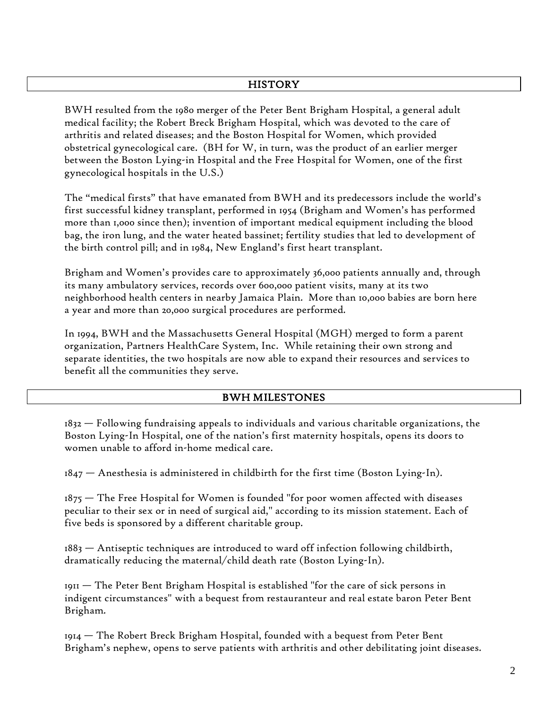#### **HISTORY**

BWH resulted from the 1980 merger of the Peter Bent Brigham Hospital, a general adult medical facility; the Robert Breck Brigham Hospital, which was devoted to the care of arthritis and related diseases; and the Boston Hospital for Women, which provided obstetrical gynecological care. (BH for W, in turn, was the product of an earlier merger between the Boston Lying-in Hospital and the Free Hospital for Women, one of the first gynecological hospitals in the U.S.)

The "medical firsts" that have emanated from BWH and its predecessors include the world's first successful kidney transplant, performed in 1954 (Brigham and Women's has performed more than 1,000 since then); invention of important medical equipment including the blood bag, the iron lung, and the water heated bassinet; fertility studies that led to development of the birth control pill; and in 1984, New England's first heart transplant.

Brigham and Women's provides care to approximately 36,000 patients annually and, through its many ambulatory services, records over 600,000 patient visits, many at its two neighborhood health centers in nearby Jamaica Plain. More than 10,000 babies are born here a year and more than 20,000 surgical procedures are performed.

In 1994, BWH and the Massachusetts General Hospital (MGH) merged to form a parent organization, Partners HealthCare System, Inc. While retaining their own strong and separate identities, the two hospitals are now able to expand their resources and services to benefit all the communities they serve.

#### BWH MILESTONES

1832 — Following fundraising appeals to individuals and various charitable organizations, the Boston Lying-In Hospital, one of the nation's first maternity hospitals, opens its doors to women unable to afford in-home medical care.

 $1847$  – Anesthesia is administered in childbirth for the first time (Boston Lying-In).

 $1875$  — The Free Hospital for Women is founded "for poor women affected with diseases peculiar to their sex or in need of surgical aid," according to its mission statement. Each of five beds is sponsored by a different charitable group.

 $1883$   $-$  Antiseptic techniques are introduced to ward off infection following childbirth, dramatically reducing the maternal/child death rate (Boston Lying-In).

 $1911$  – The Peter Bent Brigham Hospital is established "for the care of sick persons in indigent circumstances" with a bequest from restauranteur and real estate baron Peter Bent Brigham.

1914 — The Robert Breck Brigham Hospital, founded with a bequest from Peter Bent Brigham's nephew, opens to serve patients with arthritis and other debilitating joint diseases.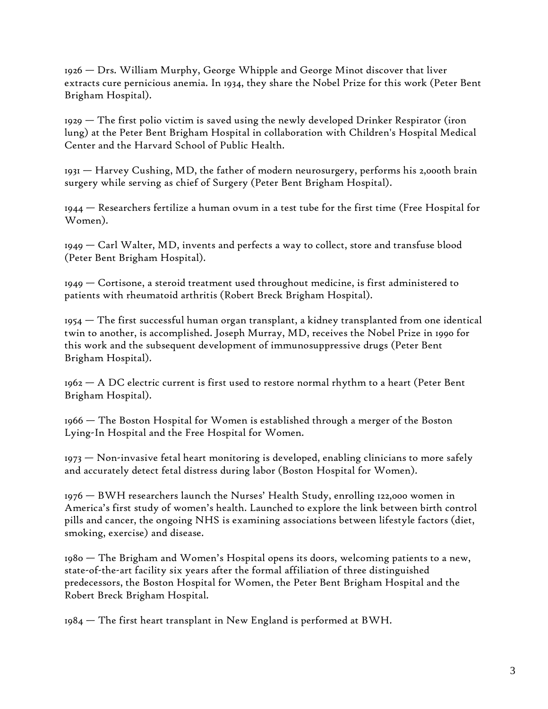1926 — Drs. William Murphy, George Whipple and George Minot discover that liver extracts cure pernicious anemia. In 1934, they share the Nobel Prize for this work (Peter Bent Brigham Hospital).

1929 — The first polio victim is saved using the newly developed Drinker Respirator (iron lung) at the Peter Bent Brigham Hospital in collaboration with Children's Hospital Medical Center and the Harvard School of Public Health.

 $1931$  — Harvey Cushing, MD, the father of modern neurosurgery, performs his 2,000th brain surgery while serving as chief of Surgery (Peter Bent Brigham Hospital).

 $1944$   $-$  Researchers fertilize a human ovum in a test tube for the first time (Free Hospital for Women).

1949 — Carl Walter, MD, invents and perfects a way to collect, store and transfuse blood (Peter Bent Brigham Hospital).

 $1949$  – Cortisone, a steroid treatment used throughout medicine, is first administered to patients with rheumatoid arthritis (Robert Breck Brigham Hospital).

1954 — The first successful human organ transplant, a kidney transplanted from one identical twin to another, is accomplished. Joseph Murray, MD, receives the Nobel Prize in 1990 for this work and the subsequent development of immunosuppressive drugs (Peter Bent Brigham Hospital).

1962 — A DC electric current is first used to restore normal rhythm to a heart (Peter Bent Brigham Hospital).

1966 — The Boston Hospital for Women is established through a merger of the Boston Lying-In Hospital and the Free Hospital for Women.

 $1973$  — Non-invasive fetal heart monitoring is developed, enabling clinicians to more safely and accurately detect fetal distress during labor (Boston Hospital for Women).

1976 — BWH researchers launch the Nurses' Health Study, enrolling 122,000 women in America's first study of women's health. Launched to explore the link between birth control pills and cancer, the ongoing NHS is examining associations between lifestyle factors (diet, smoking, exercise) and disease.

1980 — The Brigham and Women's Hospital opens its doors, welcoming patients to a new, state-of-the-art facility six years after the formal affiliation of three distinguished predecessors, the Boston Hospital for Women, the Peter Bent Brigham Hospital and the Robert Breck Brigham Hospital.

 $1984 -$  The first heart transplant in New England is performed at BWH.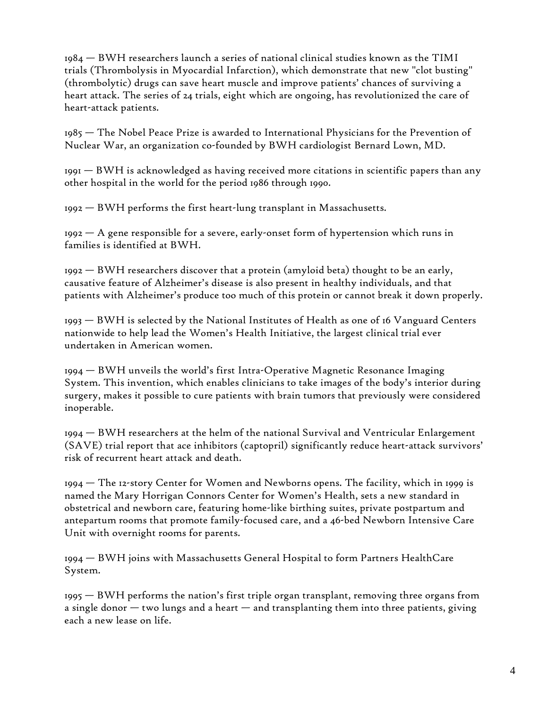1984 — BWH researchers launch a series of national clinical studies known as the TIMI trials (Thrombolysis in Myocardial Infarction), which demonstrate that new "clot busting" (thrombolytic) drugs can save heart muscle and improve patients' chances of surviving a heart attack. The series of 24 trials, eight which are ongoing, has revolutionized the care of heart-attack patients.

1985 — The Nobel Peace Prize is awarded to International Physicians for the Prevention of Nuclear War, an organization co-founded by BWH cardiologist Bernard Lown, MD.

 $1991 - BWH$  is acknowledged as having received more citations in scientific papers than any other hospital in the world for the period 1986 through 1990.

1992 — BWH performs the first heart-lung transplant in Massachusetts.

 $1992 - A$  gene responsible for a severe, early-onset form of hypertension which runs in families is identified at BWH.

1992 — BWH researchers discover that a protein (amyloid beta) thought to be an early, causative feature of Alzheimer's disease is also present in healthy individuals, and that patients with Alzheimer's produce too much of this protein or cannot break it down properly.

1993 — BWH is selected by the National Institutes of Health as one of 16 Vanguard Centers nationwide to help lead the Women's Health Initiative, the largest clinical trial ever undertaken in American women.

1994 — BWH unveils the world's first Intra-Operative Magnetic Resonance Imaging System. This invention, which enables clinicians to take images of the body's interior during surgery, makes it possible to cure patients with brain tumors that previously were considered inoperable.

1994 — BWH researchers at the helm of the national Survival and Ventricular Enlargement (SAVE) trial report that ace inhibitors (captopril) significantly reduce heart-attack survivors' risk of recurrent heart attack and death.

1994 — The 12-story Center for Women and Newborns opens. The facility, which in 1999 is named the Mary Horrigan Connors Center for Women's Health, sets a new standard in obstetrical and newborn care, featuring home-like birthing suites, private postpartum and antepartum rooms that promote family-focused care, and a 46-bed Newborn Intensive Care Unit with overnight rooms for parents.

1994 — BWH joins with Massachusetts General Hospital to form Partners HealthCare System.

1995 — BWH performs the nation's first triple organ transplant, removing three organs from a single donor  $-$  two lungs and a heart  $-$  and transplanting them into three patients, giving each a new lease on life.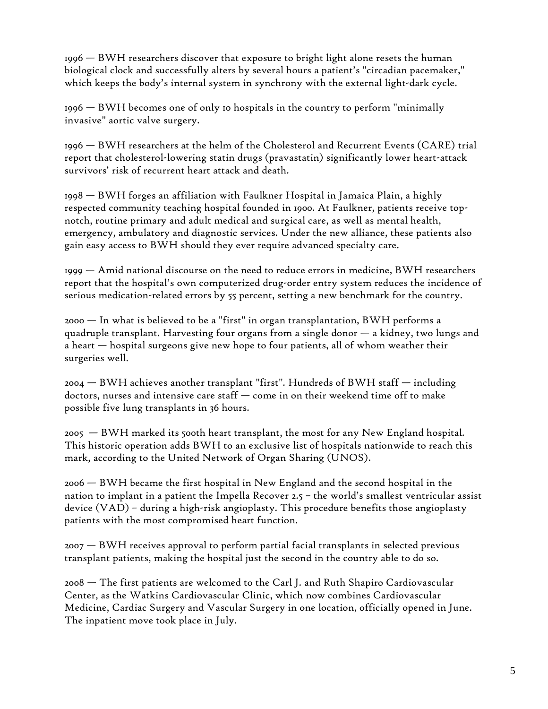1996 — BWH researchers discover that exposure to bright light alone resets the human biological clock and successfully alters by several hours a patient's "circadian pacemaker," which keeps the body's internal system in synchrony with the external light-dark cycle.

1996 — BWH becomes one of only 10 hospitals in the country to perform "minimally invasive" aortic valve surgery.

1996 — BWH researchers at the helm of the Cholesterol and Recurrent Events (CARE) trial report that cholesterol-lowering statin drugs (pravastatin) significantly lower heart-attack survivors' risk of recurrent heart attack and death.

1998 — BWH forges an affiliation with Faulkner Hospital in Jamaica Plain, a highly respected community teaching hospital founded in 1900. At Faulkner, patients receive topnotch, routine primary and adult medical and surgical care, as well as mental health, emergency, ambulatory and diagnostic services. Under the new alliance, these patients also gain easy access to BWH should they ever require advanced specialty care.

1999 — Amid national discourse on the need to reduce errors in medicine, BWH researchers report that the hospital's own computerized drug-order entry system reduces the incidence of serious medication-related errors by 55 percent, setting a new benchmark for the country.

2000 — In what is believed to be a "first" in organ transplantation, BWH performs a quadruple transplant. Harvesting four organs from a single donor — a kidney, two lungs and a heart — hospital surgeons give new hope to four patients, all of whom weather their surgeries well.

2004 — BWH achieves another transplant "first". Hundreds of BWH staff — including doctors, nurses and intensive care staff — come in on their weekend time off to make possible five lung transplants in 36 hours.

2005 — BWH marked its 500th heart transplant, the most for any New England hospital. This historic operation adds BWH to an exclusive list of hospitals nationwide to reach this mark, according to the United Network of Organ Sharing (UNOS).

2006 — BWH became the first hospital in New England and the second hospital in the nation to implant in a patient the Impella Recover 2.5 – the world's smallest ventricular assist device (VAD) – during a high-risk angioplasty. This procedure benefits those angioplasty patients with the most compromised heart function.

2007 — BWH receives approval to perform partial facial transplants in selected previous transplant patients, making the hospital just the second in the country able to do so.

2008 — The first patients are welcomed to the Carl J. and Ruth Shapiro Cardiovascular Center, as the Watkins Cardiovascular Clinic, which now combines Cardiovascular Medicine, Cardiac Surgery and Vascular Surgery in one location, officially opened in June. The inpatient move took place in July.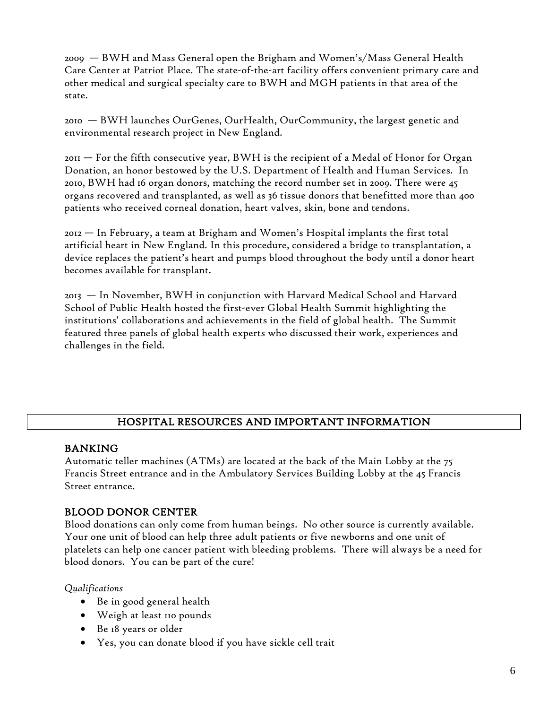2009 — BWH and Mass General open the Brigham and Women's/Mass General Health Care Center at Patriot Place. The state-of-the-art facility offers convenient primary care and other medical and surgical specialty care to BWH and MGH patients in that area of the state.

2010 — BWH launches OurGenes, OurHealth, OurCommunity, the largest genetic and environmental research project in New England.

2011 — For the fifth consecutive year, BWH is the recipient of a Medal of Honor for Organ Donation, an honor bestowed by the U.S. Department of Health and Human Services. In 2010, BWH had 16 organ donors, matching the record number set in 2009. There were 45 organs recovered and transplanted, as well as 36 tissue donors that benefitted more than 400 patients who received corneal donation, heart valves, skin, bone and tendons.

2012 — In February, a team at Brigham and Women's Hospital implants the first total artificial heart in New England. In this procedure, considered a bridge to transplantation, a device replaces the patient's heart and pumps blood throughout the body until a donor heart becomes available for transplant.

2013 — In November, BWH in conjunction with Harvard Medical School and Harvard School of Public Health hosted the first-ever Global Health Summit highlighting the institutions' collaborations and achievements in the field of global health. The Summit featured three panels of global health experts who discussed their work, experiences and challenges in the field.

## HOSPITAL RESOURCES AND IMPORTANT INFORMATION

## BANKING

Automatic teller machines (ATMs) are located at the back of the Main Lobby at the 75 Francis Street entrance and in the Ambulatory Services Building Lobby at the 45 Francis Street entrance.

## BLOOD DONOR CENTER

Blood donations can only come from human beings. No other source is currently available. Your one unit of blood can help three adult patients or five newborns and one unit of platelets can help one cancer patient with bleeding problems. There will always be a need for blood donors. You can be part of the cure!

*Qualifications*

- Be in good general health
- Weigh at least 110 pounds
- Be 18 years or older
- Yes, you can donate blood if you have sickle cell trait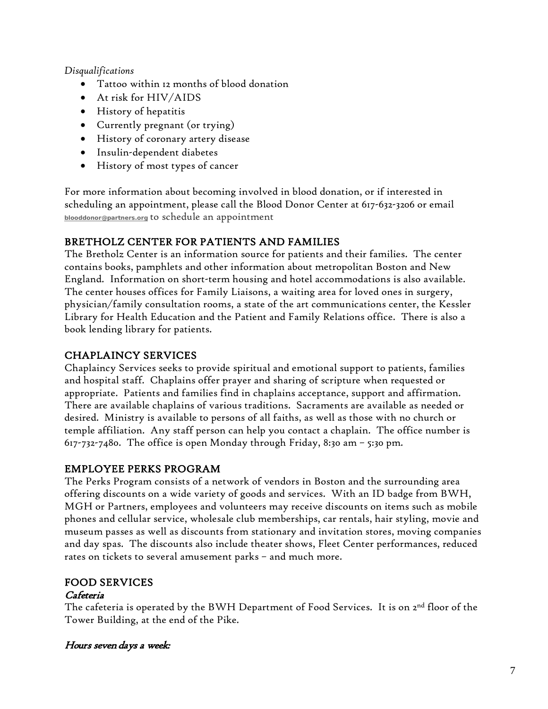#### *Disqualifications*

- Tattoo within 12 months of blood donation
- At risk for HIV/AIDS
- History of hepatitis
- Currently pregnant (or trying)
- History of coronary artery disease
- Insulin-dependent diabetes
- History of most types of cancer

For more information about becoming involved in blood donation, or if interested in scheduling an appointment, please call the Blood Donor Center at 617-632-3206 or email **[blooddonor@partners.org](mailto:blooddonor@partners.org)** to schedule an appointment

# BRETHOLZ CENTER FOR PATIENTS AND FAMILIES

The Bretholz Center is an information source for patients and their families. The center contains books, pamphlets and other information about metropolitan Boston and New England. Information on short-term housing and hotel accommodations is also available. The center houses offices for Family Liaisons, a waiting area for loved ones in surgery, physician/family consultation rooms, a state of the art communications center, the Kessler Library for Health Education and the Patient and Family Relations office. There is also a book lending library for patients.

# CHAPLAINCY SERVICES

Chaplaincy Services seeks to provide spiritual and emotional support to patients, families and hospital staff. Chaplains offer prayer and sharing of scripture when requested or appropriate. Patients and families find in chaplains acceptance, support and affirmation. There are available chaplains of various traditions. Sacraments are available as needed or desired. Ministry is available to persons of all faiths, as well as those with no church or temple affiliation. Any staff person can help you contact a chaplain. The office number is 617-732-7480. The office is open Monday through Friday, 8:30 am – 5:30 pm.

# EMPLOYEE PERKS PROGRAM

The Perks Program consists of a network of vendors in Boston and the surrounding area offering discounts on a wide variety of goods and services. With an ID badge from BWH, MGH or Partners, employees and volunteers may receive discounts on items such as mobile phones and cellular service, wholesale club memberships, car rentals, hair styling, movie and museum passes as well as discounts from stationary and invitation stores, moving companies and day spas. The discounts also include theater shows, Fleet Center performances, reduced rates on tickets to several amusement parks – and much more.

# FOOD SERVICES

## Cafeteria

The cafeteria is operated by the BWH Department of Food Services. It is on  $2<sup>nd</sup>$  floor of the Tower Building, at the end of the Pike.

## Hours seven days a week: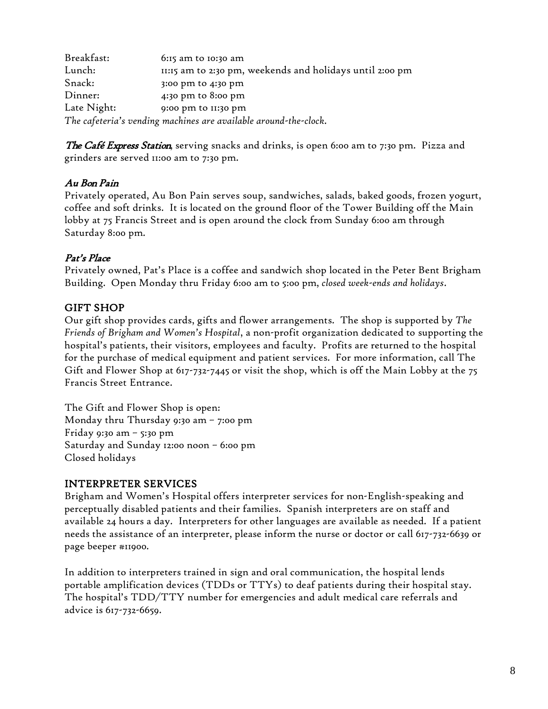| Breakfast:  | $6:15$ am to $10:30$ am                                          |
|-------------|------------------------------------------------------------------|
| Lunch:      | II:15 am to 2:30 pm, weekends and holidays until 2:00 pm         |
| Snack:      | 3:00 pm to 4:30 pm                                               |
| Dinner:     | 4:30 pm to 8:00 pm                                               |
| Late Night: | 9:00 pm to 11:30 pm                                              |
|             | The cafeteria's vending machines are available around-the-clock. |

The Café Express Station, serving snacks and drinks, is open 6:00 am to 7:30 pm. Pizza and grinders are served 11:00 am to 7:30 pm.

## Au Bon Pain

Privately operated, Au Bon Pain serves soup, sandwiches, salads, baked goods, frozen yogurt, coffee and soft drinks. It is located on the ground floor of the Tower Building off the Main lobby at 75 Francis Street and is open around the clock from Sunday 6:00 am through Saturday 8:00 pm.

## Pat's Place

Privately owned, Pat's Place is a coffee and sandwich shop located in the Peter Bent Brigham Building. Open Monday thru Friday 6:00 am to 5:00 pm, *closed week-ends and holidays*.

## GIFT SHOP

Our gift shop provides cards, gifts and flower arrangements. The shop is supported by *The Friends of Brigham and Women's Hospital*, a non-profit organization dedicated to supporting the hospital's patients, their visitors, employees and faculty. Profits are returned to the hospital for the purchase of medical equipment and patient services. For more information, call The Gift and Flower Shop at 617-732-7445 or visit the shop, which is off the Main Lobby at the 75 Francis Street Entrance.

The Gift and Flower Shop is open: Monday thru Thursday 9:30 am – 7:00 pm Friday 9:30 am – 5:30 pm Saturday and Sunday 12:00 noon – 6:00 pm Closed holidays

## INTERPRETER SERVICES

Brigham and Women's Hospital offers interpreter services for non-English-speaking and perceptually disabled patients and their families. Spanish interpreters are on staff and available 24 hours a day. Interpreters for other languages are available as needed. If a patient needs the assistance of an interpreter, please inform the nurse or doctor or call 617-732-6639 or page beeper #11900.

In addition to interpreters trained in sign and oral communication, the hospital lends portable amplification devices (TDDs or TTYs) to deaf patients during their hospital stay. The hospital's TDD/TTY number for emergencies and adult medical care referrals and advice is 617-732-6659.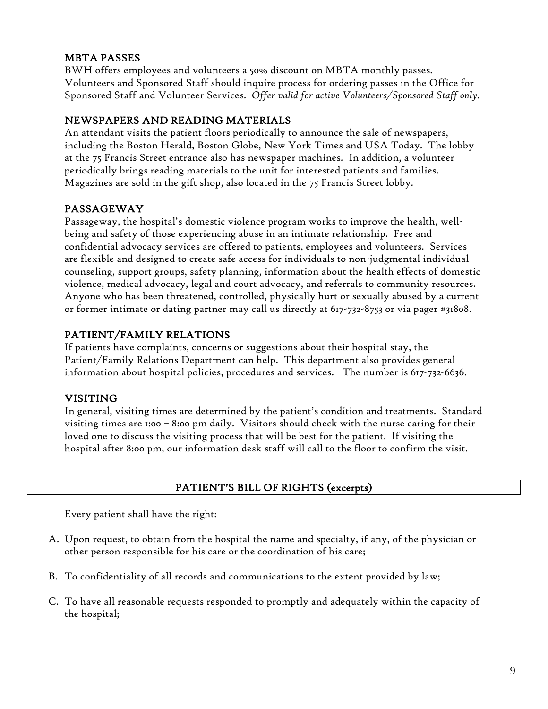## MBTA PASSES

BWH offers employees and volunteers a 50% discount on MBTA monthly passes. Volunteers and Sponsored Staff should inquire process for ordering passes in the Office for Sponsored Staff and Volunteer Services. *Offer valid for active Volunteers/Sponsored Staff only.*

## NEWSPAPERS AND READING MATERIALS

An attendant visits the patient floors periodically to announce the sale of newspapers, including the Boston Herald, Boston Globe, New York Times and USA Today. The lobby at the 75 Francis Street entrance also has newspaper machines. In addition, a volunteer periodically brings reading materials to the unit for interested patients and families. Magazines are sold in the gift shop, also located in the 75 Francis Street lobby.

## PASSAGEWAY

Passageway, the hospital's domestic violence program works to improve the health, wellbeing and safety of those experiencing abuse in an intimate relationship. Free and confidential advocacy services are offered to patients, employees and volunteers. Services are flexible and designed to create safe access for individuals to non-judgmental individual counseling, support groups, safety planning, information about the health effects of domestic violence, medical advocacy, legal and court advocacy, and referrals to community resources. Anyone who has been threatened, controlled, physically hurt or sexually abused by a current or former intimate or dating partner may call us directly at 617-732-8753 or via pager #31808.

## PATIENT/FAMILY RELATIONS

If patients have complaints, concerns or suggestions about their hospital stay, the Patient/Family Relations Department can help. This department also provides general information about hospital policies, procedures and services. The number is 617-732-6636.

## VISITING

In general, visiting times are determined by the patient's condition and treatments. Standard visiting times are 1:00 – 8:00 pm daily. Visitors should check with the nurse caring for their loved one to discuss the visiting process that will be best for the patient. If visiting the hospital after 8:00 pm, our information desk staff will call to the floor to confirm the visit.

## PATIENT'S BILL OF RIGHTS (excerpts)

Every patient shall have the right:

- A. Upon request, to obtain from the hospital the name and specialty, if any, of the physician or other person responsible for his care or the coordination of his care;
- B. To confidentiality of all records and communications to the extent provided by law;
- C. To have all reasonable requests responded to promptly and adequately within the capacity of the hospital;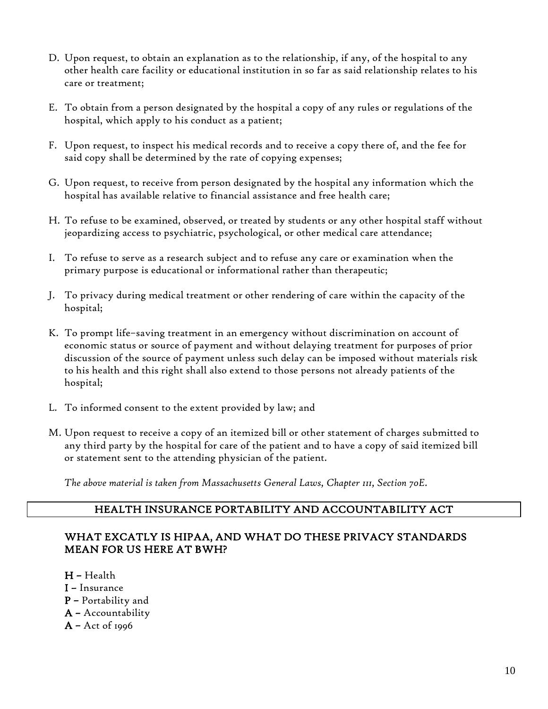- D. Upon request, to obtain an explanation as to the relationship, if any, of the hospital to any other health care facility or educational institution in so far as said relationship relates to his care or treatment;
- E. To obtain from a person designated by the hospital a copy of any rules or regulations of the hospital, which apply to his conduct as a patient;
- F. Upon request, to inspect his medical records and to receive a copy there of, and the fee for said copy shall be determined by the rate of copying expenses;
- G. Upon request, to receive from person designated by the hospital any information which the hospital has available relative to financial assistance and free health care;
- H. To refuse to be examined, observed, or treated by students or any other hospital staff without jeopardizing access to psychiatric, psychological, or other medical care attendance;
- I. To refuse to serve as a research subject and to refuse any care or examination when the primary purpose is educational or informational rather than therapeutic;
- J. To privacy during medical treatment or other rendering of care within the capacity of the hospital;
- K. To prompt life–saving treatment in an emergency without discrimination on account of economic status or source of payment and without delaying treatment for purposes of prior discussion of the source of payment unless such delay can be imposed without materials risk to his health and this right shall also extend to those persons not already patients of the hospital;
- L. To informed consent to the extent provided by law; and
- M. Upon request to receive a copy of an itemized bill or other statement of charges submitted to any third party by the hospital for care of the patient and to have a copy of said itemized bill or statement sent to the attending physician of the patient.

*The above material is taken from Massachusetts General Laws, Chapter 111, Section 70E.*

## HEALTH INSURANCE PORTABILITY AND ACCOUNTABILITY ACT

## WHAT EXCATLY IS HIPAA, AND WHAT DO THESE PRIVACY STANDARDS MEAN FOR US HERE AT BWH?

- H Health
- I Insurance
- P Portability and
- A Accountability
- A Act of 1996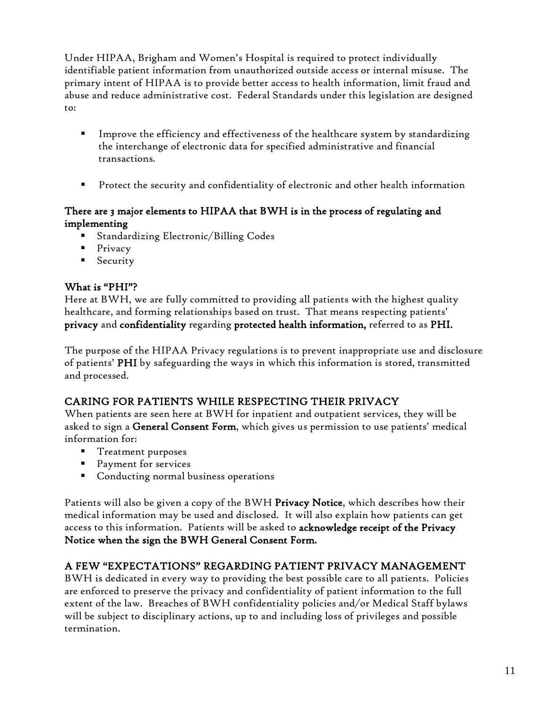Under HIPAA, Brigham and Women's Hospital is required to protect individually identifiable patient information from unauthorized outside access or internal misuse. The primary intent of HIPAA is to provide better access to health information, limit fraud and abuse and reduce administrative cost. Federal Standards under this legislation are designed to:

- Improve the efficiency and effectiveness of the healthcare system by standardizing the interchange of electronic data for specified administrative and financial transactions.
- Protect the security and confidentiality of electronic and other health information

## There are 3 major elements to HIPAA that BWH is in the process of regulating and implementing

- Standardizing Electronic/Billing Codes
- $\blacksquare$  Privacy
- **Security**

# What is "PHI"?

Here at BWH, we are fully committed to providing all patients with the highest quality healthcare, and forming relationships based on trust. That means respecting patients' privacy and confidentiality regarding protected health information, referred to as PHI.

The purpose of the HIPAA Privacy regulations is to prevent inappropriate use and disclosure of patients' PHI by safeguarding the ways in which this information is stored, transmitted and processed.

# CARING FOR PATIENTS WHILE RESPECTING THEIR PRIVACY

When patients are seen here at BWH for inpatient and outpatient services, they will be asked to sign a General Consent Form, which gives us permission to use patients' medical information for:

- **Treatment purposes**
- **Payment for services**
- Conducting normal business operations

Patients will also be given a copy of the BWH Privacy Notice, which describes how their medical information may be used and disclosed. It will also explain how patients can get access to this information. Patients will be asked to acknowledge receipt of the Privacy Notice when the sign the BWH General Consent Form.

# A FEW "EXPECTATIONS" REGARDING PATIENT PRIVACY MANAGEMENT

BWH is dedicated in every way to providing the best possible care to all patients. Policies are enforced to preserve the privacy and confidentiality of patient information to the full extent of the law. Breaches of BWH confidentiality policies and/or Medical Staff bylaws will be subject to disciplinary actions, up to and including loss of privileges and possible termination.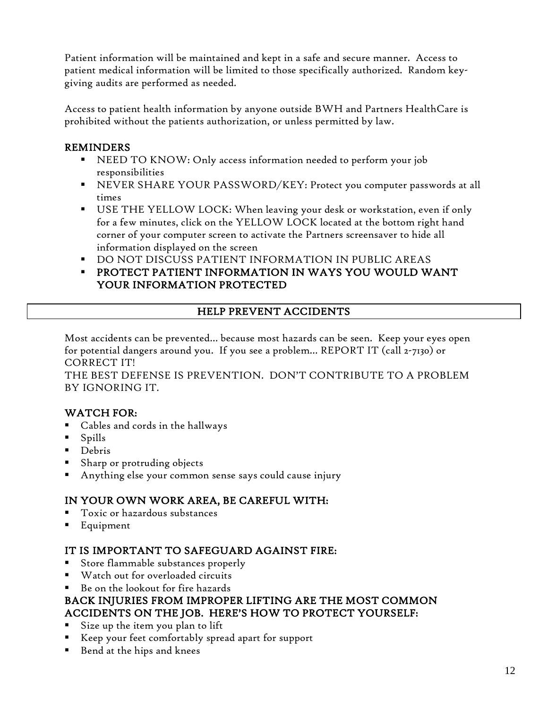Patient information will be maintained and kept in a safe and secure manner. Access to patient medical information will be limited to those specifically authorized. Random keygiving audits are performed as needed.

Access to patient health information by anyone outside BWH and Partners HealthCare is prohibited without the patients authorization, or unless permitted by law.

## REMINDERS

- NEED TO KNOW: Only access information needed to perform your job responsibilities
- NEVER SHARE YOUR PASSWORD/KEY: Protect you computer passwords at all times
- USE THE YELLOW LOCK: When leaving your desk or workstation, even if only for a few minutes, click on the YELLOW LOCK located at the bottom right hand corner of your computer screen to activate the Partners screensaver to hide all information displayed on the screen
- DO NOT DISCUSS PATIENT INFORMATION IN PUBLIC AREAS
- PROTECT PATIENT INFORMATION IN WAYS YOU WOULD WANT YOUR INFORMATION PROTECTED

## HELP PREVENT ACCIDENTS

Most accidents can be prevented… because most hazards can be seen. Keep your eyes open for potential dangers around you. If you see a problem… REPORT IT (call 2-7130) or CORRECT IT!

THE BEST DEFENSE IS PREVENTION. DON'T CONTRIBUTE TO A PROBLEM BY IGNORING IT.

## WATCH FOR:

- Cables and cords in the hallways
- Spills
- Debris
- Sharp or protruding objects
- Anything else your common sense says could cause injury

## IN YOUR OWN WORK AREA, BE CAREFUL WITH:

- Toxic or hazardous substances
- Equipment

## IT IS IMPORTANT TO SAFEGUARD AGAINST FIRE:

- Store flammable substances properly
- Watch out for overloaded circuits
- Be on the lookout for fire hazards

## BACK INJURIES FROM IMPROPER LIFTING ARE THE MOST COMMON ACCIDENTS ON THE JOB. HERE'S HOW TO PROTECT YOURSELF:

- Size up the item you plan to lift
- Keep your feet comfortably spread apart for support
- Bend at the hips and knees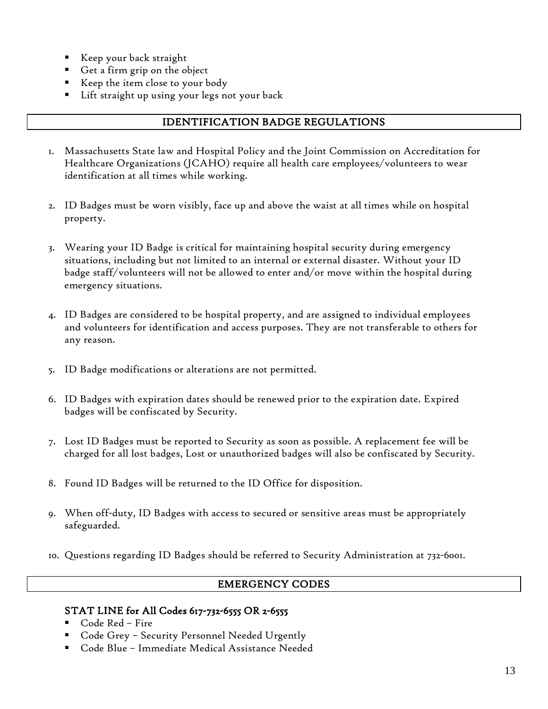- Keep your back straight
- Get a firm grip on the object
- Keep the item close to your body
- Lift straight up using your legs not your back

## IDENTIFICATION BADGE REGULATIONS

- 1. Massachusetts State law and Hospital Policy and the Joint Commission on Accreditation for Healthcare Organizations (JCAHO) require all health care employees/volunteers to wear identification at all times while working.
- 2. ID Badges must be worn visibly, face up and above the waist at all times while on hospital property.
- 3. Wearing your ID Badge is critical for maintaining hospital security during emergency situations, including but not limited to an internal or external disaster. Without your ID badge staff/volunteers will not be allowed to enter and/or move within the hospital during emergency situations.
- 4. ID Badges are considered to be hospital property, and are assigned to individual employees and volunteers for identification and access purposes. They are not transferable to others for any reason.
- 5. ID Badge modifications or alterations are not permitted.
- 6. ID Badges with expiration dates should be renewed prior to the expiration date. Expired badges will be confiscated by Security.
- 7. Lost ID Badges must be reported to Security as soon as possible. A replacement fee will be charged for all lost badges, Lost or unauthorized badges will also be confiscated by Security.
- 8. Found ID Badges will be returned to the ID Office for disposition.
- 9. When off-duty, ID Badges with access to secured or sensitive areas must be appropriately safeguarded.
- 10. Questions regarding ID Badges should be referred to Security Administration at 732-6001.

#### EMERGENCY CODES

#### STAT LINE for All Codes 617-732-6555 OR 2-6555

- Code Red Fire
- Code Grey Security Personnel Needed Urgently
- Code Blue Immediate Medical Assistance Needed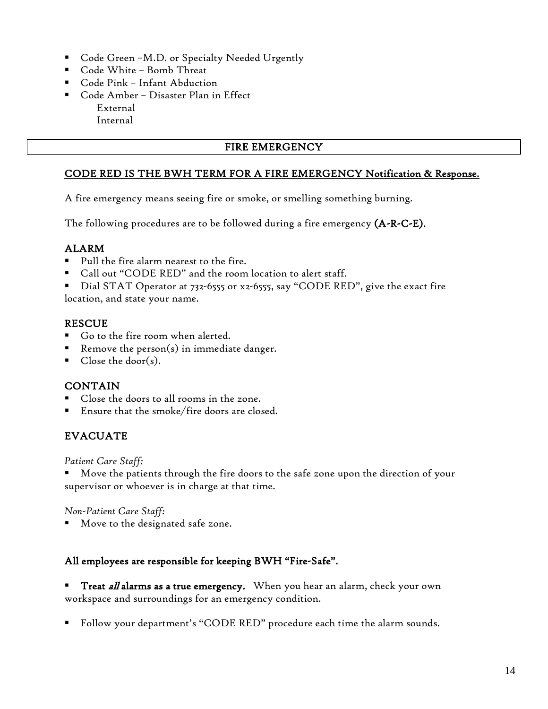- Code Green –M.D. or Specialty Needed Urgently
- Code White Bomb Threat
- Code Pink Infant Abduction
- Code Amber Disaster Plan in Effect External Internal

## FIRE EMERGENCY

## CODE RED IS THE BWH TERM FOR A FIRE EMERGENCY Notification & Response.

A fire emergency means seeing fire or smoke, or smelling something burning.

The following procedures are to be followed during a fire emergency  $(A-R-C-E)$ .

## ALARM

- Pull the fire alarm nearest to the fire.
- Call out "CODE RED" and the room location to alert staff.
- Dial STAT Operator at 732-6555 or x2-6555, say "CODE RED", give the exact fire location, and state your name.

#### RESCUE

- Go to the fire room when alerted.
- Remove the person(s) in immediate danger.
- Close the door(s).

#### CONTAIN

- Close the doors to all rooms in the zone.
- Ensure that the smoke/fire doors are closed.

# EVACUATE

*Patient Care Staff:*

 Move the patients through the fire doors to the safe zone upon the direction of your supervisor or whoever is in charge at that time.

*Non-Patient Care Staff:*

Move to the designated safe zone.

#### All employees are responsible for keeping BWH "Fire-Safe".

**Treat all alarms as a true emergency.** When you hear an alarm, check your own workspace and surroundings for an emergency condition.

Follow your department's "CODE RED" procedure each time the alarm sounds.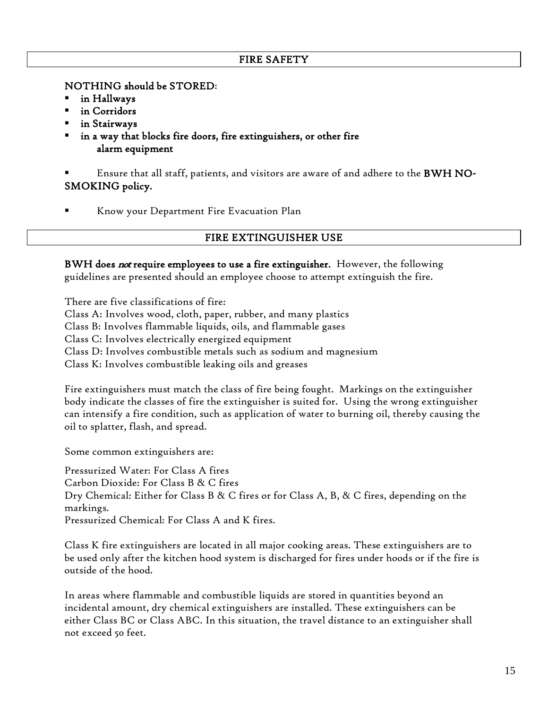#### FIRE SAFETY

NOTHING should be STORED:

- in Hallways
- in Corridors
- in Stairways
- in a way that blocks fire doors, fire extinguishers, or other fire alarm equipment

 Ensure that all staff, patients, and visitors are aware of and adhere to the BWH NO-SMOKING policy.

Know your Department Fire Evacuation Plan

#### FIRE EXTINGUISHER USE

BWH does not require employees to use a fire extinguisher. However, the following guidelines are presented should an employee choose to attempt extinguish the fire.

There are five classifications of fire: Class A: Involves wood, cloth, paper, rubber, and many plastics Class B: Involves flammable liquids, oils, and flammable gases Class C: Involves electrically energized equipment Class D: Involves combustible metals such as sodium and magnesium Class K: Involves combustible leaking oils and greases

Fire extinguishers must match the class of fire being fought. Markings on the extinguisher body indicate the classes of fire the extinguisher is suited for. Using the wrong extinguisher can intensify a fire condition, such as application of water to burning oil, thereby causing the oil to splatter, flash, and spread.

Some common extinguishers are:

Pressurized Water: For Class A fires Carbon Dioxide: For Class B & C fires Dry Chemical: Either for Class B & C fires or for Class A, B, & C fires, depending on the markings. Pressurized Chemical: For Class A and K fires.

Class K fire extinguishers are located in all major cooking areas. These extinguishers are to be used only after the kitchen hood system is discharged for fires under hoods or if the fire is outside of the hood.

In areas where flammable and combustible liquids are stored in quantities beyond an incidental amount, dry chemical extinguishers are installed. These extinguishers can be either Class BC or Class ABC. In this situation, the travel distance to an extinguisher shall not exceed 50 feet.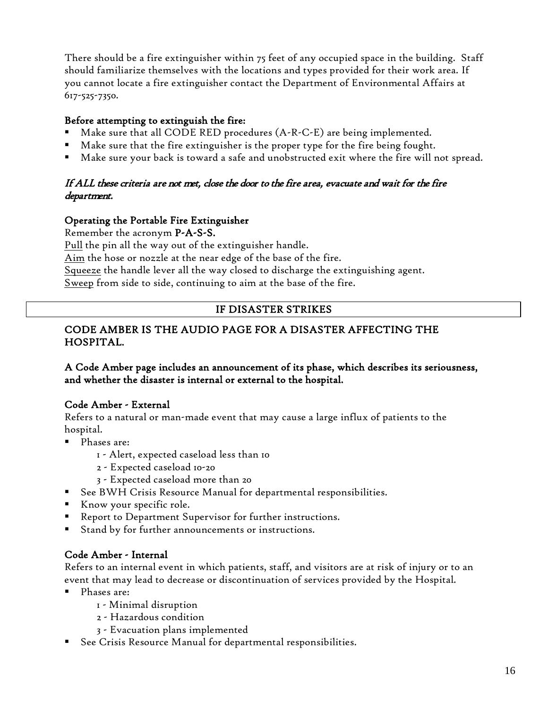There should be a fire extinguisher within 75 feet of any occupied space in the building. Staff should familiarize themselves with the locations and types provided for their work area. If you cannot locate a fire extinguisher contact the Department of Environmental Affairs at 617-525-7350.

### Before attempting to extinguish the fire:

- Make sure that all CODE RED procedures (A-R-C-E) are being implemented.
- Make sure that the fire extinguisher is the proper type for the fire being fought.
- Make sure your back is toward a safe and unobstructed exit where the fire will not spread.

## If ALL these criteria are not met, close the door to the fire area, evacuate and wait for the fire department.

## Operating the Portable Fire Extinguisher

Remember the acronym P-A-S-S.

Pull the pin all the way out of the extinguisher handle.

Aim the hose or nozzle at the near edge of the base of the fire.

Squeeze the handle lever all the way closed to discharge the extinguishing agent.

Sweep from side to side, continuing to aim at the base of the fire.

## IF DISASTER STRIKES

## CODE AMBER IS THE AUDIO PAGE FOR A DISASTER AFFECTING THE HOSPITAL.

#### A Code Amber page includes an announcement of its phase, which describes its seriousness, and whether the disaster is internal or external to the hospital.

#### Code Amber - External

Refers to a natural or man-made event that may cause a large influx of patients to the hospital.

- **Phases are:** 
	- 1 Alert, expected caseload less than 10
	- 2 Expected caseload 10-20
	- 3 Expected caseload more than 20
- See BWH Crisis Resource Manual for departmental responsibilities.
- Know your specific role.
- Report to Department Supervisor for further instructions.
- Stand by for further announcements or instructions.

#### Code Amber - Internal

Refers to an internal event in which patients, staff, and visitors are at risk of injury or to an event that may lead to decrease or discontinuation of services provided by the Hospital.

- Phases are:
	- 1 Minimal disruption
	- 2 Hazardous condition
	- 3 Evacuation plans implemented
- See Crisis Resource Manual for departmental responsibilities.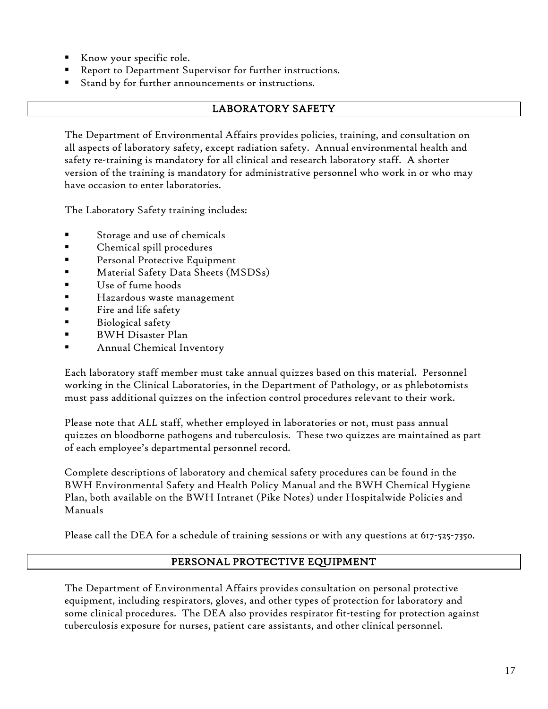- Know your specific role.
- Report to Department Supervisor for further instructions.
- Stand by for further announcements or instructions.

## LABORATORY SAFETY

The Department of Environmental Affairs provides policies, training, and consultation on all aspects of laboratory safety, except radiation safety. Annual environmental health and safety re-training is mandatory for all clinical and research laboratory staff. A shorter version of the training is mandatory for administrative personnel who work in or who may have occasion to enter laboratories.

The Laboratory Safety training includes:

- Storage and use of chemicals
- Chemical spill procedures
- Personal Protective Equipment
- Material Safety Data Sheets (MSDSs)
- Use of fume hoods
- Hazardous waste management
- Fire and life safety
- Biological safety
- BWH Disaster Plan
- Annual Chemical Inventory

Each laboratory staff member must take annual quizzes based on this material. Personnel working in the Clinical Laboratories, in the Department of Pathology, or as phlebotomists must pass additional quizzes on the infection control procedures relevant to their work.

Please note that *ALL* staff, whether employed in laboratories or not, must pass annual quizzes on bloodborne pathogens and tuberculosis. These two quizzes are maintained as part of each employee's departmental personnel record.

Complete descriptions of laboratory and chemical safety procedures can be found in the BWH Environmental Safety and Health Policy Manual and the BWH Chemical Hygiene Plan, both available on the BWH Intranet (Pike Notes) under Hospitalwide Policies and Manuals

Please call the DEA for a schedule of training sessions or with any questions at 617-525-7350.

#### PERSONAL PROTECTIVE EQUIPMENT

The Department of Environmental Affairs provides consultation on personal protective equipment, including respirators, gloves, and other types of protection for laboratory and some clinical procedures. The DEA also provides respirator fit-testing for protection against tuberculosis exposure for nurses, patient care assistants, and other clinical personnel.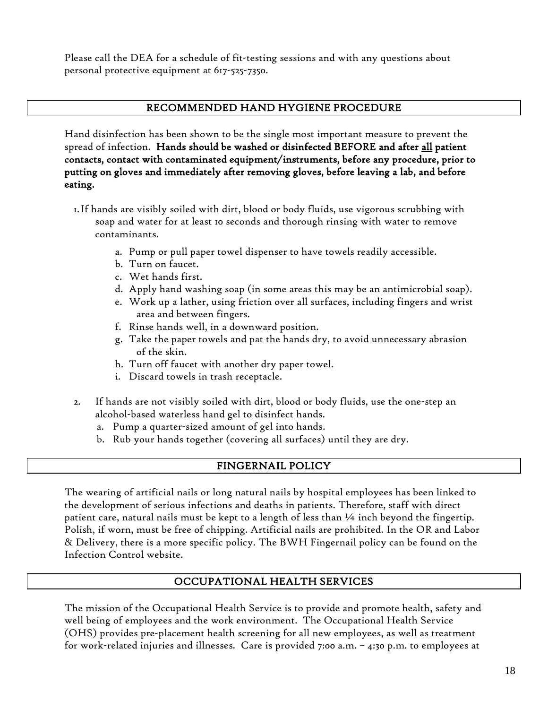Please call the DEA for a schedule of fit-testing sessions and with any questions about personal protective equipment at 617-525-7350.

## RECOMMENDED HAND HYGIENE PROCEDURE

Hand disinfection has been shown to be the single most important measure to prevent the spread of infection. Hands should be washed or disinfected BEFORE and after all patient contacts, contact with contaminated equipment/instruments, before any procedure, prior to putting on gloves and immediately after removing gloves, before leaving a lab, and before eating.

- 1.If hands are visibly soiled with dirt, blood or body fluids, use vigorous scrubbing with soap and water for at least 10 seconds and thorough rinsing with water to remove contaminants.
	- a. Pump or pull paper towel dispenser to have towels readily accessible.
	- b. Turn on faucet.
	- c. Wet hands first.
	- d. Apply hand washing soap (in some areas this may be an antimicrobial soap).
	- e. Work up a lather, using friction over all surfaces, including fingers and wrist area and between fingers.
	- f. Rinse hands well, in a downward position.
	- g. Take the paper towels and pat the hands dry, to avoid unnecessary abrasion of the skin.
	- h. Turn off faucet with another dry paper towel.
	- i. Discard towels in trash receptacle.
- 2. If hands are not visibly soiled with dirt, blood or body fluids, use the one-step an alcohol-based waterless hand gel to disinfect hands.
	- a. Pump a quarter-sized amount of gel into hands.
	- b. Rub your hands together (covering all surfaces) until they are dry.

#### FINGERNAIL POLICY

The wearing of artificial nails or long natural nails by hospital employees has been linked to the development of serious infections and deaths in patients. Therefore, staff with direct patient care, natural nails must be kept to a length of less than ¼ inch beyond the fingertip. Polish, if worn, must be free of chipping. Artificial nails are prohibited. In the OR and Labor & Delivery, there is a more specific policy. The BWH Fingernail policy can be found on the Infection Control website.

## OCCUPATIONAL HEALTH SERVICES

The mission of the Occupational Health Service is to provide and promote health, safety and well being of employees and the work environment. The Occupational Health Service (OHS) provides pre-placement health screening for all new employees, as well as treatment for work-related injuries and illnesses. Care is provided 7:00 a.m. – 4:30 p.m. to employees at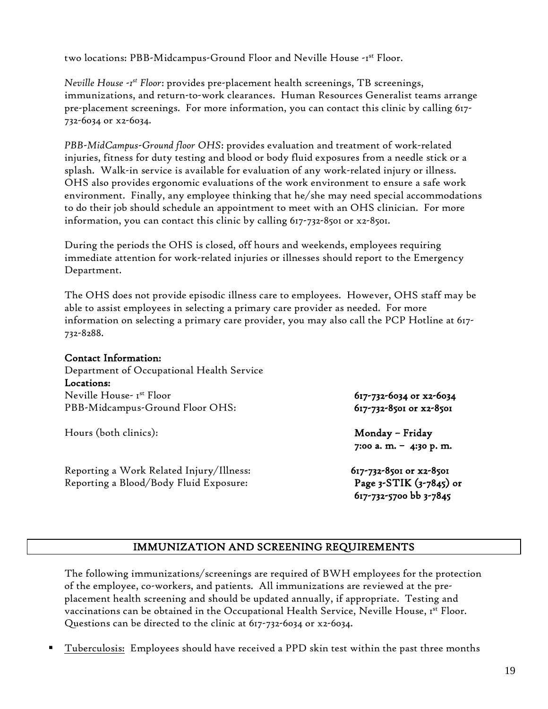two locations: PBB-Midcampus-Ground Floor and Neville House -1st Floor.

*Neville House -1 st Floor*: provides pre-placement health screenings, TB screenings, immunizations, and return-to-work clearances. Human Resources Generalist teams arrange pre-placement screenings. For more information, you can contact this clinic by calling 617- 732-6034 or x2-6034.

*PBB-MidCampus-Ground floor OHS*: provides evaluation and treatment of work-related injuries, fitness for duty testing and blood or body fluid exposures from a needle stick or a splash. Walk-in service is available for evaluation of any work-related injury or illness. OHS also provides ergonomic evaluations of the work environment to ensure a safe work environment. Finally, any employee thinking that he/she may need special accommodations to do their job should schedule an appointment to meet with an OHS clinician. For more information, you can contact this clinic by calling 617-732-8501 or x2-8501.

During the periods the OHS is closed, off hours and weekends, employees requiring immediate attention for work-related injuries or illnesses should report to the Emergency Department.

The OHS does not provide episodic illness care to employees. However, OHS staff may be able to assist employees in selecting a primary care provider as needed. For more information on selecting a primary care provider, you may also call the PCP Hotline at 617- 732-8288.

#### Contact Information:

Department of Occupational Health Service Locations: Neville House- 1st Floor 617-732-6034 or x2-6034 PBB-Midcampus-Ground Floor OHS: 617-732-8501 or x2-8501

Hours (both clinics): Monday – Friday

Reporting a Work Related Injury/Illness: 617-732-8501 or x2-8501 Reporting a Blood/Body Fluid Exposure: Page 3-STIK (3-7845) or

7:00 a. m. – 4:30 p. m.

617-732-5700 bb 3-7845

#### IMMUNIZATION AND SCREENING REQUIREMENTS

The following immunizations/screenings are required of BWH employees for the protection of the employee, co-workers, and patients. All immunizations are reviewed at the preplacement health screening and should be updated annually, if appropriate. Testing and vaccinations can be obtained in the Occupational Health Service, Neville House, 1st Floor. Questions can be directed to the clinic at 617-732-6034 or x2-6034.

Tuberculosis: Employees should have received a PPD skin test within the past three months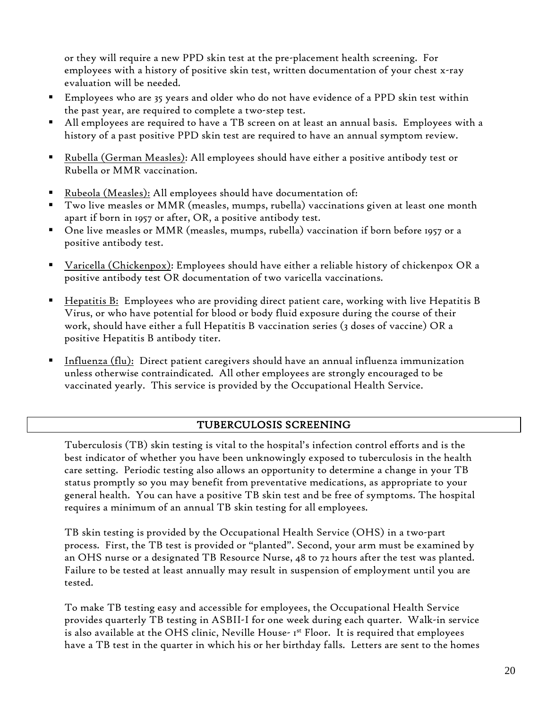or they will require a new PPD skin test at the pre-placement health screening. For employees with a history of positive skin test, written documentation of your chest x-ray evaluation will be needed.

- Employees who are 35 years and older who do not have evidence of a PPD skin test within the past year, are required to complete a two-step test.
- All employees are required to have a TB screen on at least an annual basis. Employees with a history of a past positive PPD skin test are required to have an annual symptom review.
- Rubella (German Measles): All employees should have either a positive antibody test or Rubella or MMR vaccination.
- Rubeola (Measles): All employees should have documentation of:
- Two live measles or MMR (measles, mumps, rubella) vaccinations given at least one month apart if born in 1957 or after, OR, a positive antibody test.
- One live measles or MMR (measles, mumps, rubella) vaccination if born before 1957 or a positive antibody test.
- Varicella (Chickenpox): Employees should have either a reliable history of chickenpox OR a positive antibody test OR documentation of two varicella vaccinations.
- Hepatitis B: Employees who are providing direct patient care, working with live Hepatitis B Virus, or who have potential for blood or body fluid exposure during the course of their work, should have either a full Hepatitis B vaccination series (3 doses of vaccine) OR a positive Hepatitis B antibody titer.
- Influenza (flu): Direct patient caregivers should have an annual influenza immunization unless otherwise contraindicated. All other employees are strongly encouraged to be vaccinated yearly. This service is provided by the Occupational Health Service.

## TUBERCULOSIS SCREENING

Tuberculosis (TB) skin testing is vital to the hospital's infection control efforts and is the best indicator of whether you have been unknowingly exposed to tuberculosis in the health care setting. Periodic testing also allows an opportunity to determine a change in your TB status promptly so you may benefit from preventative medications, as appropriate to your general health. You can have a positive TB skin test and be free of symptoms. The hospital requires a minimum of an annual TB skin testing for all employees.

TB skin testing is provided by the Occupational Health Service (OHS) in a two-part process. First, the TB test is provided or "planted". Second, your arm must be examined by an OHS nurse or a designated TB Resource Nurse, 48 to 72 hours after the test was planted. Failure to be tested at least annually may result in suspension of employment until you are tested.

To make TB testing easy and accessible for employees, the Occupational Health Service provides quarterly TB testing in ASBII-I for one week during each quarter. Walk-in service is also available at the OHS clinic, Neville House- Ist Floor. It is required that employees have a TB test in the quarter in which his or her birthday falls. Letters are sent to the homes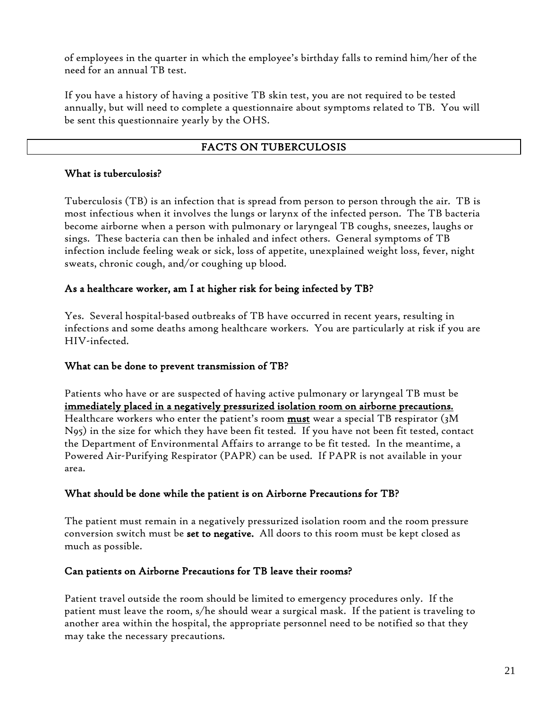of employees in the quarter in which the employee's birthday falls to remind him/her of the need for an annual TB test.

If you have a history of having a positive TB skin test, you are not required to be tested annually, but will need to complete a questionnaire about symptoms related to TB. You will be sent this questionnaire yearly by the OHS.

### FACTS ON TUBERCULOSIS

#### What is tuberculosis?

Tuberculosis (TB) is an infection that is spread from person to person through the air. TB is most infectious when it involves the lungs or larynx of the infected person. The TB bacteria become airborne when a person with pulmonary or laryngeal TB coughs, sneezes, laughs or sings. These bacteria can then be inhaled and infect others. General symptoms of TB infection include feeling weak or sick, loss of appetite, unexplained weight loss, fever, night sweats, chronic cough, and/or coughing up blood.

## As a healthcare worker, am I at higher risk for being infected by TB?

Yes. Several hospital-based outbreaks of TB have occurred in recent years, resulting in infections and some deaths among healthcare workers. You are particularly at risk if you are HIV-infected.

#### What can be done to prevent transmission of TB?

Patients who have or are suspected of having active pulmonary or laryngeal TB must be immediately placed in a negatively pressurized isolation room on airborne precautions. Healthcare workers who enter the patient's room must wear a special TB respirator (3M N95) in the size for which they have been fit tested. If you have not been fit tested, contact the Department of Environmental Affairs to arrange to be fit tested. In the meantime, a Powered Air-Purifying Respirator (PAPR) can be used. If PAPR is not available in your area.

#### What should be done while the patient is on Airborne Precautions for TB?

The patient must remain in a negatively pressurized isolation room and the room pressure conversion switch must be set to negative. All doors to this room must be kept closed as much as possible.

#### Can patients on Airborne Precautions for TB leave their rooms?

Patient travel outside the room should be limited to emergency procedures only. If the patient must leave the room, s/he should wear a surgical mask. If the patient is traveling to another area within the hospital, the appropriate personnel need to be notified so that they may take the necessary precautions.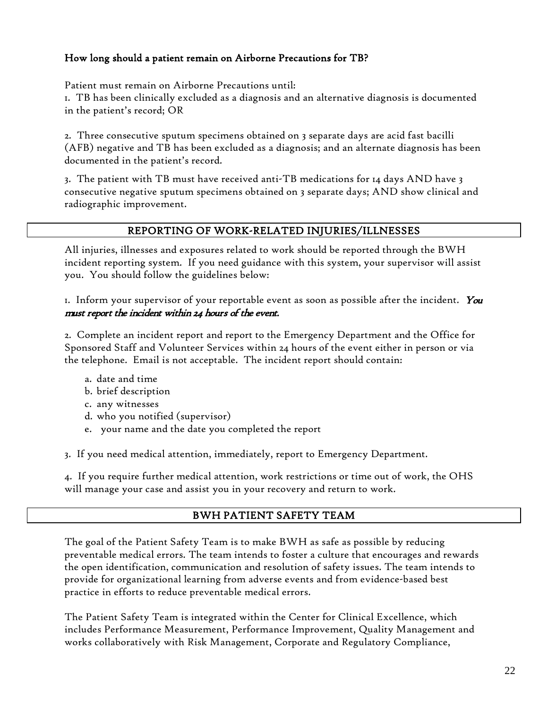## How long should a patient remain on Airborne Precautions for TB?

Patient must remain on Airborne Precautions until:

1. TB has been clinically excluded as a diagnosis and an alternative diagnosis is documented in the patient's record; OR

2. Three consecutive sputum specimens obtained on 3 separate days are acid fast bacilli (AFB) negative and TB has been excluded as a diagnosis; and an alternate diagnosis has been documented in the patient's record.

3. The patient with TB must have received anti-TB medications for 14 days AND have 3 consecutive negative sputum specimens obtained on 3 separate days; AND show clinical and radiographic improvement.

#### REPORTING OF WORK-RELATED INJURIES/ILLNESSES

All injuries, illnesses and exposures related to work should be reported through the BWH incident reporting system. If you need guidance with this system, your supervisor will assist you. You should follow the guidelines below:

1. Inform your supervisor of your reportable event as soon as possible after the incident. You must report the incident within 24 hours of the event.

2. Complete an incident report and report to the Emergency Department and the Office for Sponsored Staff and Volunteer Services within 24 hours of the event either in person or via the telephone. Email is not acceptable. The incident report should contain:

- a. date and time
- b. brief description
- c. any witnesses
- d. who you notified (supervisor)
- e. your name and the date you completed the report

3. If you need medical attention, immediately, report to Emergency Department.

4. If you require further medical attention, work restrictions or time out of work, the OHS will manage your case and assist you in your recovery and return to work.

#### BWH PATIENT SAFETY TEAM

The goal of the Patient Safety Team is to make BWH as safe as possible by reducing preventable medical errors. The team intends to foster a culture that encourages and rewards the open identification, communication and resolution of safety issues. The team intends to provide for organizational learning from adverse events and from evidence-based best practice in efforts to reduce preventable medical errors.

The Patient Safety Team is integrated within the Center for Clinical Excellence, which includes Performance Measurement, Performance Improvement, Quality Management and works collaboratively with Risk Management, Corporate and Regulatory Compliance,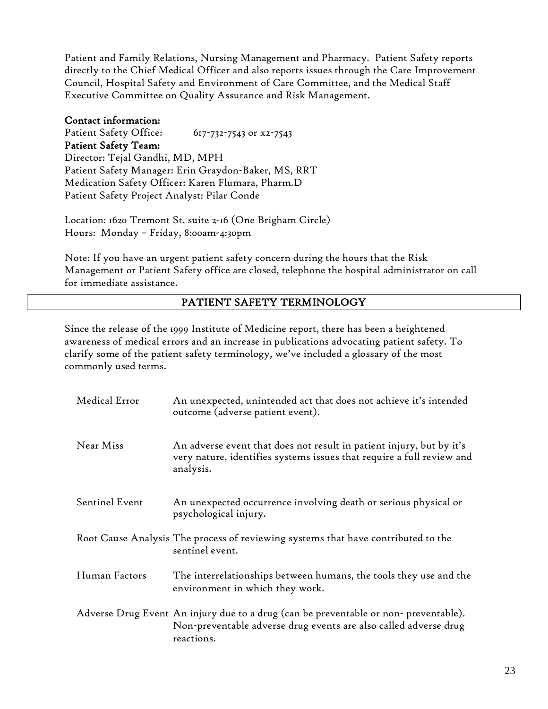Patient and Family Relations, Nursing Management and Pharmacy. Patient Safety reports directly to the Chief Medical Officer and also reports issues through the Care Improvement Council, Hospital Safety and Environment of Care Committee, and the Medical Staff Executive Committee on Quality Assurance and Risk Management.

#### Contact information:

Patient Safety Office: 617-732-7543 or x2-7543 Patient Safety Team: Director: Tejal Gandhi, MD, MPH Patient Safety Manager: Erin Graydon-Baker, MS, RRT Medication Safety Officer: Karen Flumara, Pharm.D Patient Safety Project Analyst: Pilar Conde

Location: 1620 Tremont St. suite 2-16 (One Brigham Circle) Hours: Monday – Friday, 8:00am-4:30pm

Note: If you have an urgent patient safety concern during the hours that the Risk Management or Patient Safety office are closed, telephone the hospital administrator on call for immediate assistance.

#### PATIENT SAFETY TERMINOLOGY

Since the release of the 1999 Institute of Medicine report, there has been a heightened awareness of medical errors and an increase in publications advocating patient safety. To clarify some of the patient safety terminology, we've included a glossary of the most commonly used terms.

| Medical Error  | An unexpected, unintended act that does not achieve it's intended<br>outcome (adverse patient event).                                                                 |  |
|----------------|-----------------------------------------------------------------------------------------------------------------------------------------------------------------------|--|
| Near Miss      | An adverse event that does not result in patient injury, but by it's<br>very nature, identifies systems issues that require a full review and<br>analysis.            |  |
| Sentinel Event | An unexpected occurrence involving death or serious physical or<br>psychological injury.                                                                              |  |
|                | Root Cause Analysis The process of reviewing systems that have contributed to the<br>sentinel event.                                                                  |  |
| Human Factors  | The interrelationships between humans, the tools they use and the<br>environment in which they work.                                                                  |  |
|                | Adverse Drug Event An injury due to a drug (can be preventable or non-preventable).<br>Non-preventable adverse drug events are also called adverse drug<br>reactions. |  |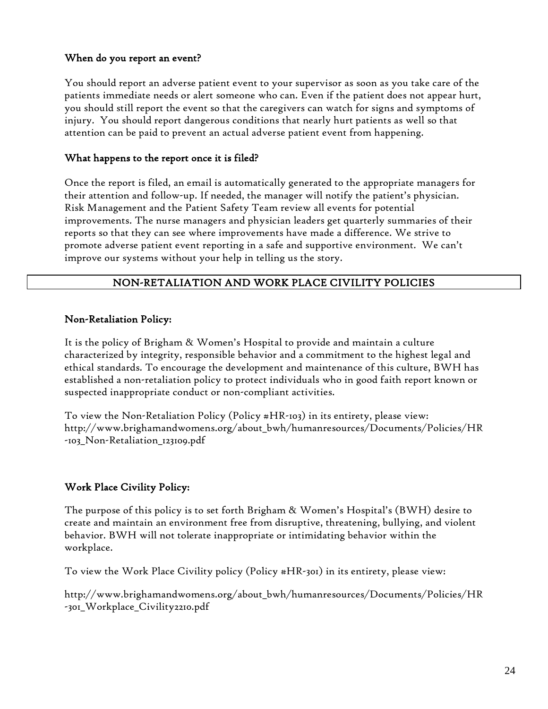#### When do you report an event?

You should report an adverse patient event to your supervisor as soon as you take care of the patients immediate needs or alert someone who can. Even if the patient does not appear hurt, you should still report the event so that the caregivers can watch for signs and symptoms of injury. You should report dangerous conditions that nearly hurt patients as well so that attention can be paid to prevent an actual adverse patient event from happening.

#### What happens to the report once it is filed?

Once the report is filed, an email is automatically generated to the appropriate managers for their attention and follow-up. If needed, the manager will notify the patient's physician. Risk Management and the Patient Safety Team review all events for potential improvements. The nurse managers and physician leaders get quarterly summaries of their reports so that they can see where improvements have made a difference. We strive to promote adverse patient event reporting in a safe and supportive environment. We can't improve our systems without your help in telling us the story.

#### NON-RETALIATION AND WORK PLACE CIVILITY POLICIES

#### Non-Retaliation Policy:

It is the policy of Brigham & Women's Hospital to provide and maintain a culture characterized by integrity, responsible behavior and a commitment to the highest legal and ethical standards. To encourage the development and maintenance of this culture, BWH has established a non-retaliation policy to protect individuals who in good faith report known or suspected inappropriate conduct or non-compliant activities.

To view the Non-Retaliation Policy (Policy #HR-103) in its entirety, please view: http://www.brighamandwomens.org/about\_bwh/humanresources/Documents/Policies/HR -103\_Non-Retaliation\_123109.pdf

#### Work Place Civility Policy:

The purpose of this policy is to set forth Brigham & Women's Hospital's (BWH) desire to create and maintain an environment free from disruptive, threatening, bullying, and violent behavior. BWH will not tolerate inappropriate or intimidating behavior within the workplace.

To view the Work Place Civility policy (Policy #HR-301) in its entirety, please view:

http://www.brighamandwomens.org/about\_bwh/humanresources/Documents/Policies/HR -301\_Workplace\_Civility2210.pdf